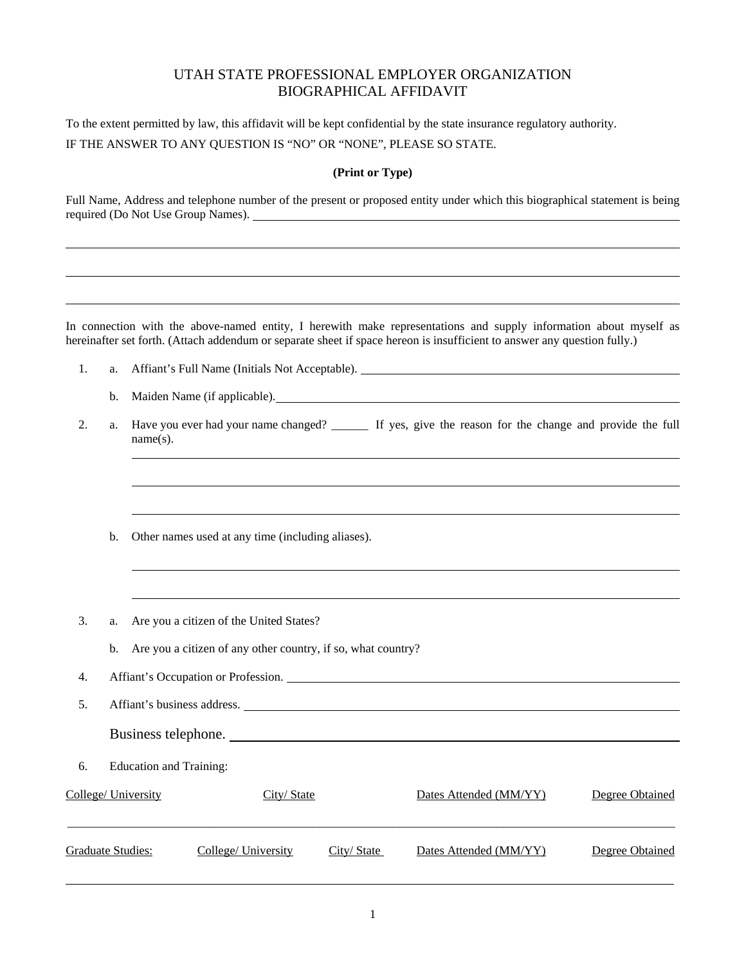## UTAH STATE PROFESSIONAL EMPLOYER ORGANIZATION BIOGRAPHICAL AFFIDAVIT

To the extent permitted by law, this affidavit will be kept confidential by the state insurance regulatory authority.

IF THE ANSWER TO ANY QUESTION IS "NO" OR "NONE", PLEASE SO STATE.

## **(Print or Type)**

Full Name, Address and telephone number of the present or proposed entity under which this biographical statement is being required (Do Not Use Group Names).

In connection with the above-named entity, I herewith make representations and supply information about myself as hereinafter set forth. (Attach addendum or separate sheet if space hereon is insufficient to answer any question fully.)

- 1. a. Affiant's Full Name (Initials Not Acceptable).
	- b. Maiden Name (if applicable).
- 2. a. Have you ever had your name changed? If yes, give the reason for the change and provide the full name(s).
	- b. Other names used at any time (including aliases).
- 3. a. Are you a citizen of the United States?
	- b. Are you a citizen of any other country, if so, what country?
- 4. Affiant's Occupation or Profession.
- 5. Affiant's business address.
	- Business telephone.
- 6. Education and Training:

| College/ University | City/State          |            | Dates Attended (MM/YY) | Degree Obtained |  |
|---------------------|---------------------|------------|------------------------|-----------------|--|
| Graduate Studies:   | College/ University | City/State | Dates Attended (MM/YY) | Degree Obtained |  |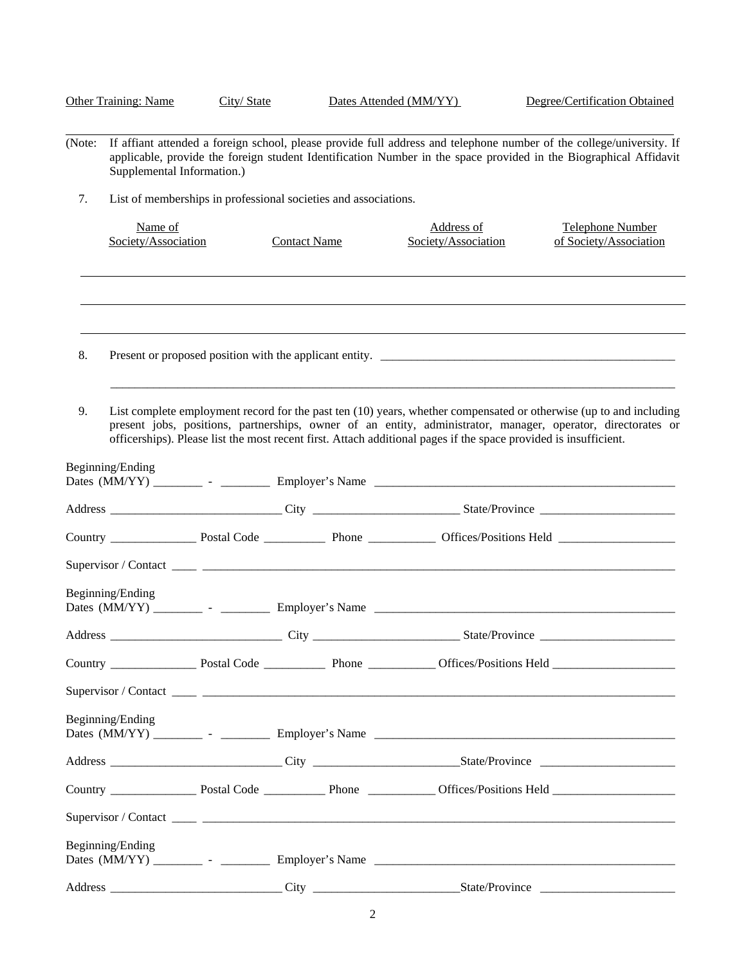| <b>Other Training: Name</b> |                                                                 | City/State |                                                                                                                                                                                                                                           | Dates Attended (MM/YY)                                                                                           | Degree/Certification Obtained                                                                                                                                                                                                      |  |  |  |
|-----------------------------|-----------------------------------------------------------------|------------|-------------------------------------------------------------------------------------------------------------------------------------------------------------------------------------------------------------------------------------------|------------------------------------------------------------------------------------------------------------------|------------------------------------------------------------------------------------------------------------------------------------------------------------------------------------------------------------------------------------|--|--|--|
| (Note:                      | Supplemental Information.)                                      |            | If affiant attended a foreign school, please provide full address and telephone number of the college/university. If<br>applicable, provide the foreign student Identification Number in the space provided in the Biographical Affidavit |                                                                                                                  |                                                                                                                                                                                                                                    |  |  |  |
| 7.                          | List of memberships in professional societies and associations. |            |                                                                                                                                                                                                                                           |                                                                                                                  |                                                                                                                                                                                                                                    |  |  |  |
|                             | Name of<br>Society/Association                                  |            | <b>Contact Name</b>                                                                                                                                                                                                                       | Address of<br>Society/Association                                                                                | Telephone Number<br>of Society/Association                                                                                                                                                                                         |  |  |  |
|                             |                                                                 |            |                                                                                                                                                                                                                                           |                                                                                                                  |                                                                                                                                                                                                                                    |  |  |  |
| 8.                          |                                                                 |            |                                                                                                                                                                                                                                           |                                                                                                                  |                                                                                                                                                                                                                                    |  |  |  |
| 9.                          |                                                                 |            |                                                                                                                                                                                                                                           | officerships). Please list the most recent first. Attach additional pages if the space provided is insufficient. | List complete employment record for the past ten (10) years, whether compensated or otherwise (up to and including<br>present jobs, positions, partnerships, owner of an entity, administrator, manager, operator, directorates or |  |  |  |
|                             | Beginning/Ending                                                |            |                                                                                                                                                                                                                                           |                                                                                                                  |                                                                                                                                                                                                                                    |  |  |  |
|                             |                                                                 |            |                                                                                                                                                                                                                                           |                                                                                                                  |                                                                                                                                                                                                                                    |  |  |  |
|                             |                                                                 |            |                                                                                                                                                                                                                                           |                                                                                                                  |                                                                                                                                                                                                                                    |  |  |  |
|                             |                                                                 |            |                                                                                                                                                                                                                                           |                                                                                                                  |                                                                                                                                                                                                                                    |  |  |  |
|                             | Beginning/Ending                                                |            |                                                                                                                                                                                                                                           |                                                                                                                  |                                                                                                                                                                                                                                    |  |  |  |
|                             |                                                                 |            |                                                                                                                                                                                                                                           |                                                                                                                  |                                                                                                                                                                                                                                    |  |  |  |
|                             |                                                                 |            |                                                                                                                                                                                                                                           |                                                                                                                  |                                                                                                                                                                                                                                    |  |  |  |
|                             |                                                                 |            |                                                                                                                                                                                                                                           |                                                                                                                  |                                                                                                                                                                                                                                    |  |  |  |
|                             | Beginning/Ending                                                |            |                                                                                                                                                                                                                                           |                                                                                                                  |                                                                                                                                                                                                                                    |  |  |  |
|                             |                                                                 |            |                                                                                                                                                                                                                                           |                                                                                                                  |                                                                                                                                                                                                                                    |  |  |  |
|                             |                                                                 |            |                                                                                                                                                                                                                                           |                                                                                                                  |                                                                                                                                                                                                                                    |  |  |  |
|                             |                                                                 |            |                                                                                                                                                                                                                                           |                                                                                                                  |                                                                                                                                                                                                                                    |  |  |  |
|                             | Beginning/Ending                                                |            |                                                                                                                                                                                                                                           |                                                                                                                  |                                                                                                                                                                                                                                    |  |  |  |
|                             |                                                                 |            |                                                                                                                                                                                                                                           |                                                                                                                  |                                                                                                                                                                                                                                    |  |  |  |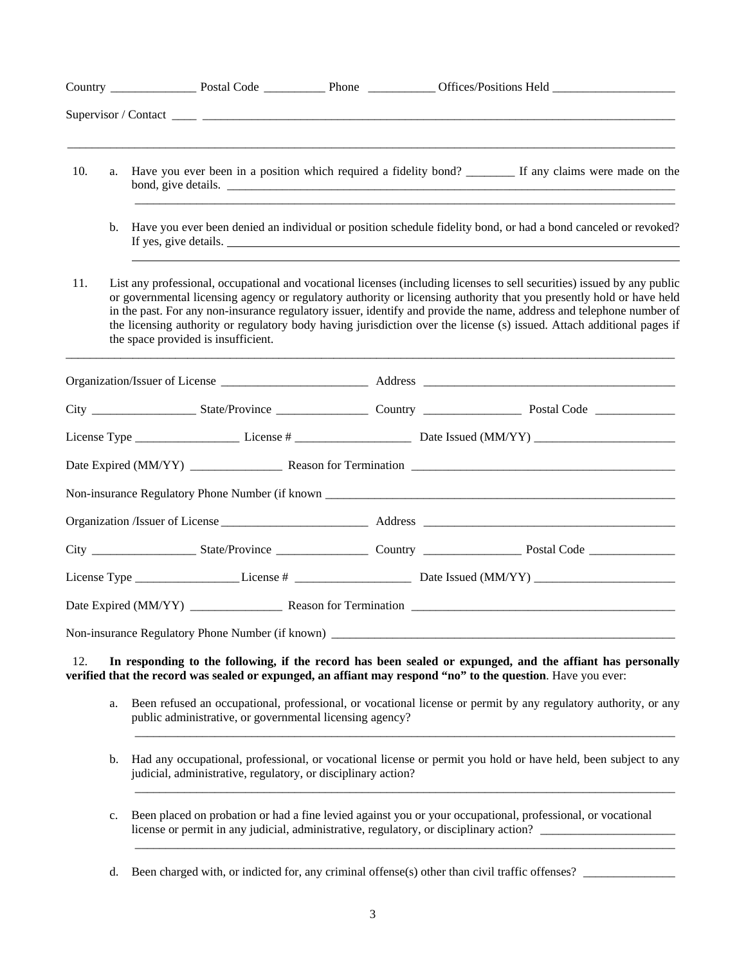| 10. | a.                                                                                                                                                                                                          |                                                                                                                                                                                 |  | Have you ever been in a position which required a fidelity bond? __________ If any claims were made on the |                                                                                                                                                                                                                                                                                                                                                                                                                                                                                                    |  |
|-----|-------------------------------------------------------------------------------------------------------------------------------------------------------------------------------------------------------------|---------------------------------------------------------------------------------------------------------------------------------------------------------------------------------|--|------------------------------------------------------------------------------------------------------------|----------------------------------------------------------------------------------------------------------------------------------------------------------------------------------------------------------------------------------------------------------------------------------------------------------------------------------------------------------------------------------------------------------------------------------------------------------------------------------------------------|--|
|     | b.                                                                                                                                                                                                          |                                                                                                                                                                                 |  |                                                                                                            | Have you ever been denied an individual or position schedule fidelity bond, or had a bond canceled or revoked?<br>If yes, give details.                                                                                                                                                                                                                                                                                                                                                            |  |
| 11. |                                                                                                                                                                                                             | the space provided is insufficient.                                                                                                                                             |  |                                                                                                            | List any professional, occupational and vocational licenses (including licenses to sell securities) issued by any public<br>or governmental licensing agency or regulatory authority or licensing authority that you presently hold or have held<br>in the past. For any non-insurance regulatory issuer, identify and provide the name, address and telephone number of<br>the licensing authority or regulatory body having jurisdiction over the license (s) issued. Attach additional pages if |  |
|     |                                                                                                                                                                                                             |                                                                                                                                                                                 |  |                                                                                                            |                                                                                                                                                                                                                                                                                                                                                                                                                                                                                                    |  |
|     |                                                                                                                                                                                                             |                                                                                                                                                                                 |  |                                                                                                            |                                                                                                                                                                                                                                                                                                                                                                                                                                                                                                    |  |
|     |                                                                                                                                                                                                             |                                                                                                                                                                                 |  |                                                                                                            |                                                                                                                                                                                                                                                                                                                                                                                                                                                                                                    |  |
|     |                                                                                                                                                                                                             |                                                                                                                                                                                 |  |                                                                                                            |                                                                                                                                                                                                                                                                                                                                                                                                                                                                                                    |  |
|     |                                                                                                                                                                                                             |                                                                                                                                                                                 |  |                                                                                                            |                                                                                                                                                                                                                                                                                                                                                                                                                                                                                                    |  |
|     |                                                                                                                                                                                                             |                                                                                                                                                                                 |  |                                                                                                            |                                                                                                                                                                                                                                                                                                                                                                                                                                                                                                    |  |
|     |                                                                                                                                                                                                             |                                                                                                                                                                                 |  |                                                                                                            |                                                                                                                                                                                                                                                                                                                                                                                                                                                                                                    |  |
|     |                                                                                                                                                                                                             |                                                                                                                                                                                 |  |                                                                                                            |                                                                                                                                                                                                                                                                                                                                                                                                                                                                                                    |  |
|     |                                                                                                                                                                                                             |                                                                                                                                                                                 |  |                                                                                                            |                                                                                                                                                                                                                                                                                                                                                                                                                                                                                                    |  |
|     |                                                                                                                                                                                                             | Non-insurance Regulatory Phone Number (if known)                                                                                                                                |  |                                                                                                            |                                                                                                                                                                                                                                                                                                                                                                                                                                                                                                    |  |
| 12. | a.                                                                                                                                                                                                          | public administrative, or governmental licensing agency?                                                                                                                        |  |                                                                                                            | In responding to the following, if the record has been sealed or expunged, and the affiant has personally<br>verified that the record was sealed or expunged, an affiant may respond "no" to the question. Have you ever:<br>Been refused an occupational, professional, or vocational license or permit by any regulatory authority, or any                                                                                                                                                       |  |
|     | b.                                                                                                                                                                                                          | Had any occupational, professional, or vocational license or permit you hold or have held, been subject to any<br>judicial, administrative, regulatory, or disciplinary action? |  |                                                                                                            |                                                                                                                                                                                                                                                                                                                                                                                                                                                                                                    |  |
|     | Been placed on probation or had a fine levied against you or your occupational, professional, or vocational<br>c.<br>license or permit in any judicial, administrative, regulatory, or disciplinary action? |                                                                                                                                                                                 |  |                                                                                                            |                                                                                                                                                                                                                                                                                                                                                                                                                                                                                                    |  |

d. Been charged with, or indicted for, any criminal offense(s) other than civil traffic offenses? \_\_\_\_\_\_\_\_\_\_\_\_\_\_\_

\_\_\_\_\_\_\_\_\_\_\_\_\_\_\_\_\_\_\_\_\_\_\_\_\_\_\_\_\_\_\_\_\_\_\_\_\_\_\_\_\_\_\_\_\_\_\_\_\_\_\_\_\_\_\_\_\_\_\_\_\_\_\_\_\_\_\_\_\_\_\_\_\_\_\_\_\_\_\_\_\_\_\_\_\_\_\_\_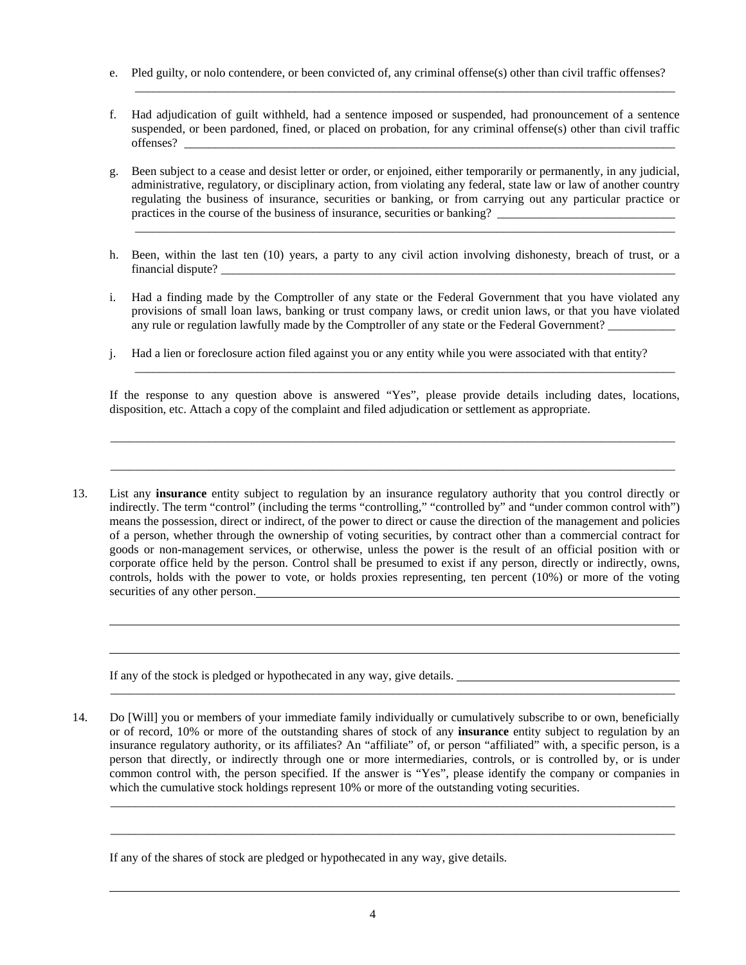- e. Pled guilty, or nolo contendere, or been convicted of, any criminal offense(s) other than civil traffic offenses?
- f. Had adjudication of guilt withheld, had a sentence imposed or suspended, had pronouncement of a sentence suspended, or been pardoned, fined, or placed on probation, for any criminal offense(s) other than civil traffic offenses?

\_\_\_\_\_\_\_\_\_\_\_\_\_\_\_\_\_\_\_\_\_\_\_\_\_\_\_\_\_\_\_\_\_\_\_\_\_\_\_\_\_\_\_\_\_\_\_\_\_\_\_\_\_\_\_\_\_\_\_\_\_\_\_\_\_\_\_\_\_\_\_\_\_\_\_\_\_\_\_\_\_\_\_\_\_\_\_\_

 g. Been subject to a cease and desist letter or order, or enjoined, either temporarily or permanently, in any judicial, administrative, regulatory, or disciplinary action, from violating any federal, state law or law of another country regulating the business of insurance, securities or banking, or from carrying out any particular practice or practices in the course of the business of insurance, securities or banking?

\_\_\_\_\_\_\_\_\_\_\_\_\_\_\_\_\_\_\_\_\_\_\_\_\_\_\_\_\_\_\_\_\_\_\_\_\_\_\_\_\_\_\_\_\_\_\_\_\_\_\_\_\_\_\_\_\_\_\_\_\_\_\_\_\_\_\_\_\_\_\_\_\_\_\_\_\_\_\_\_\_\_\_\_\_\_\_\_

- h. Been, within the last ten (10) years, a party to any civil action involving dishonesty, breach of trust, or a financial dispute?
- i. Had a finding made by the Comptroller of any state or the Federal Government that you have violated any provisions of small loan laws, banking or trust company laws, or credit union laws, or that you have violated any rule or regulation lawfully made by the Comptroller of any state or the Federal Government?
- j. Had a lien or foreclosure action filed against you or any entity while you were associated with that entity?

If the response to any question above is answered "Yes", please provide details including dates, locations, disposition, etc. Attach a copy of the complaint and filed adjudication or settlement as appropriate.

\_\_\_\_\_\_\_\_\_\_\_\_\_\_\_\_\_\_\_\_\_\_\_\_\_\_\_\_\_\_\_\_\_\_\_\_\_\_\_\_\_\_\_\_\_\_\_\_\_\_\_\_\_\_\_\_\_\_\_\_\_\_\_\_\_\_\_\_\_\_\_\_\_\_\_\_\_\_\_\_\_\_\_\_\_\_\_\_\_\_\_\_

\_\_\_\_\_\_\_\_\_\_\_\_\_\_\_\_\_\_\_\_\_\_\_\_\_\_\_\_\_\_\_\_\_\_\_\_\_\_\_\_\_\_\_\_\_\_\_\_\_\_\_\_\_\_\_\_\_\_\_\_\_\_\_\_\_\_\_\_\_\_\_\_\_\_\_\_\_\_\_\_\_\_\_\_\_\_\_\_\_\_\_\_

 $\overline{\phantom{a}}$  ,  $\overline{\phantom{a}}$  ,  $\overline{\phantom{a}}$  ,  $\overline{\phantom{a}}$  ,  $\overline{\phantom{a}}$  ,  $\overline{\phantom{a}}$  ,  $\overline{\phantom{a}}$  ,  $\overline{\phantom{a}}$  ,  $\overline{\phantom{a}}$  ,  $\overline{\phantom{a}}$  ,  $\overline{\phantom{a}}$  ,  $\overline{\phantom{a}}$  ,  $\overline{\phantom{a}}$  ,  $\overline{\phantom{a}}$  ,  $\overline{\phantom{a}}$  ,  $\overline{\phantom{a}}$ 

 13. List any **insurance** entity subject to regulation by an insurance regulatory authority that you control directly or indirectly. The term "control" (including the terms "controlling," "controlled by" and "under common control with") means the possession, direct or indirect, of the power to direct or cause the direction of the management and policies of a person, whether through the ownership of voting securities, by contract other than a commercial contract for goods or non-management services, or otherwise, unless the power is the result of an official position with or corporate office held by the person. Control shall be presumed to exist if any person, directly or indirectly, owns, controls, holds with the power to vote, or holds proxies representing, ten percent (10%) or more of the voting securities of any other person.

If any of the stock is pledged or hypothecated in any way, give details.

 14. Do [Will] you or members of your immediate family individually or cumulatively subscribe to or own, beneficially or of record, 10% or more of the outstanding shares of stock of any **insurance** entity subject to regulation by an insurance regulatory authority, or its affiliates? An "affiliate" of, or person "affiliated" with, a specific person, is a person that directly, or indirectly through one or more intermediaries, controls, or is controlled by, or is under common control with, the person specified. If the answer is "Yes", please identify the company or companies in which the cumulative stock holdings represent 10% or more of the outstanding voting securities.

\_\_\_\_\_\_\_\_\_\_\_\_\_\_\_\_\_\_\_\_\_\_\_\_\_\_\_\_\_\_\_\_\_\_\_\_\_\_\_\_\_\_\_\_\_\_\_\_\_\_\_\_\_\_\_\_\_\_\_\_\_\_\_\_\_\_\_\_\_\_\_\_\_\_\_\_\_\_\_\_\_\_\_\_\_\_\_\_\_\_\_\_

\_\_\_\_\_\_\_\_\_\_\_\_\_\_\_\_\_\_\_\_\_\_\_\_\_\_\_\_\_\_\_\_\_\_\_\_\_\_\_\_\_\_\_\_\_\_\_\_\_\_\_\_\_\_\_\_\_\_\_\_\_\_\_\_\_\_\_\_\_\_\_\_\_\_\_\_\_\_\_\_\_\_\_\_\_\_\_\_\_\_\_\_

\_\_\_\_\_\_\_\_\_\_\_\_\_\_\_\_\_\_\_\_\_\_\_\_\_\_\_\_\_\_\_\_\_\_\_\_\_\_\_\_\_\_\_\_\_\_\_\_\_\_\_\_\_\_\_\_\_\_\_\_\_\_\_\_\_\_\_\_\_\_\_\_\_\_\_\_\_\_\_\_\_\_\_\_\_\_\_\_\_\_\_\_

If any of the shares of stock are pledged or hypothecated in any way, give details.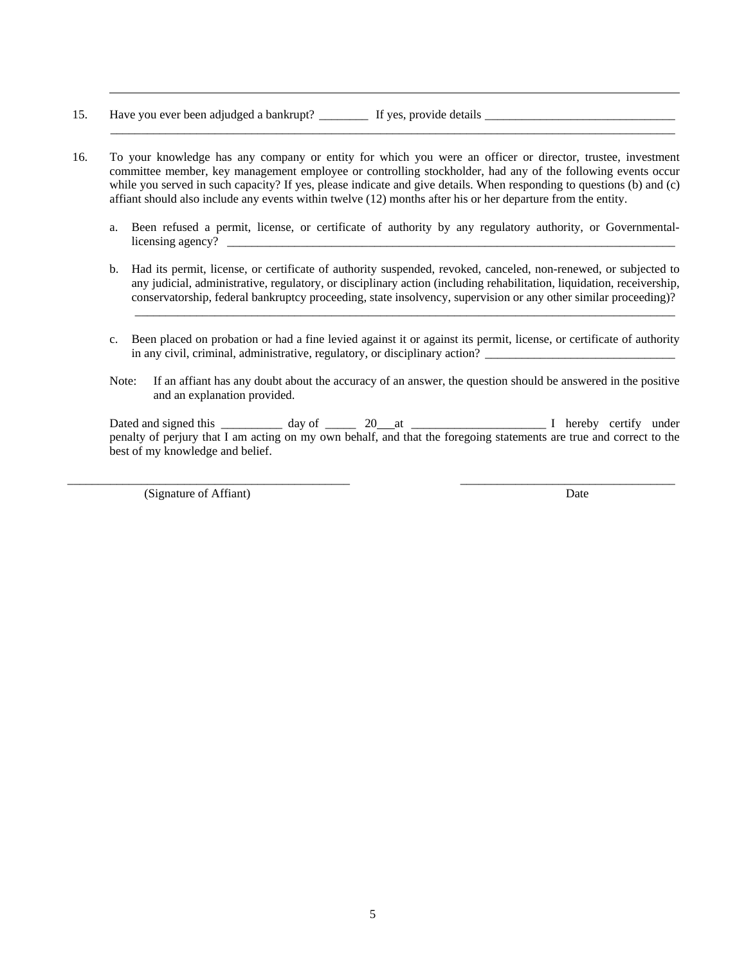- 15. Have you ever been adjudged a bankrupt? \_\_\_\_\_\_\_\_ If yes, provide details \_\_\_\_\_\_\_\_\_\_\_\_\_\_\_\_\_\_\_\_\_\_\_\_\_\_\_\_\_\_\_
- 16. To your knowledge has any company or entity for which you were an officer or director, trustee, investment committee member, key management employee or controlling stockholder, had any of the following events occur while you served in such capacity? If yes, please indicate and give details. When responding to questions (b) and (c) affiant should also include any events within twelve (12) months after his or her departure from the entity.
	- a. Been refused a permit, license, or certificate of authority by any regulatory authority, or Governmentallicensing agency? \_

\_\_\_\_\_\_\_\_\_\_\_\_\_\_\_\_\_\_\_\_\_\_\_\_\_\_\_\_\_\_\_\_\_\_\_\_\_\_\_\_\_\_\_\_\_\_\_\_\_\_\_\_\_\_\_\_\_\_\_\_\_\_\_\_\_\_\_\_\_\_\_\_\_\_\_\_\_\_\_\_\_\_\_\_\_\_\_\_\_\_\_\_

 b. Had its permit, license, or certificate of authority suspended, revoked, canceled, non-renewed, or subjected to any judicial, administrative, regulatory, or disciplinary action (including rehabilitation, liquidation, receivership, conservatorship, federal bankruptcy proceeding, state insolvency, supervision or any other similar proceeding)?

 $\overline{\phantom{a}}$  ,  $\overline{\phantom{a}}$  ,  $\overline{\phantom{a}}$  ,  $\overline{\phantom{a}}$  ,  $\overline{\phantom{a}}$  ,  $\overline{\phantom{a}}$  ,  $\overline{\phantom{a}}$  ,  $\overline{\phantom{a}}$  ,  $\overline{\phantom{a}}$  ,  $\overline{\phantom{a}}$  ,  $\overline{\phantom{a}}$  ,  $\overline{\phantom{a}}$  ,  $\overline{\phantom{a}}$  ,  $\overline{\phantom{a}}$  ,  $\overline{\phantom{a}}$  ,  $\overline{\phantom{a}}$ 

- c. Been placed on probation or had a fine levied against it or against its permit, license, or certificate of authority in any civil, criminal, administrative, regulatory, or disciplinary action? \_\_\_\_\_\_\_\_\_\_\_\_\_\_\_\_\_\_\_\_\_\_\_\_\_\_\_\_\_\_\_\_\_\_
- Note: If an affiant has any doubt about the accuracy of an answer, the question should be answered in the positive and an explanation provided.

Dated and signed this \_\_\_\_\_\_\_\_\_\_ day of \_\_\_\_\_ 20 at \_\_\_\_\_\_\_\_\_\_\_\_\_\_\_\_\_\_\_\_\_\_ I hereby certify under penalty of perjury that I am acting on my own behalf, and that the foregoing statements are true and correct to the best of my knowledge and belief.

\_\_\_\_\_\_\_\_\_\_\_\_\_\_\_\_\_\_\_\_\_\_\_\_\_\_\_\_\_\_\_\_\_\_\_\_\_\_\_\_\_\_\_\_\_\_ \_\_\_\_\_\_\_\_\_\_\_\_\_\_\_\_\_\_\_\_\_\_\_\_\_\_\_\_\_\_\_\_\_\_\_

(Signature of Affiant) Date